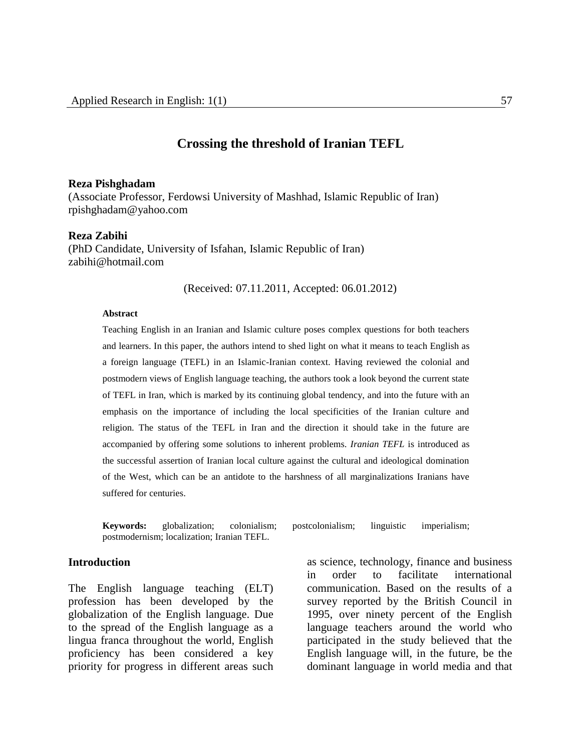#### **Crossing the threshold of Iranian TEFL**

#### **Reza Pishghadam**

(Associate Professor, Ferdowsi University of Mashhad, Islamic Republic of Iran) rpishghadam@yahoo.com

#### **Reza Zabihi**

(PhD Candidate, University of Isfahan, Islamic Republic of Iran) zabihi@hotmail.com

(Received: 07.11.2011, Accepted: 06.01.2012)

#### **Abstract**

Teaching English in an Iranian and Islamic culture poses complex questions for both teachers and learners. In this paper, the authors intend to shed light on what it means to teach English as a foreign language (TEFL) in an Islamic-Iranian context. Having reviewed the colonial and postmodern views of English language teaching, the authors took a look beyond the current state of TEFL in Iran, which is marked by its continuing global tendency, and into the future with an emphasis on the importance of including the local specificities of the Iranian culture and religion. The status of the TEFL in Iran and the direction it should take in the future are accompanied by offering some solutions to inherent problems. *Iranian TEFL* is introduced as the successful assertion of Iranian local culture against the cultural and ideological domination of the West, which can be an antidote to the harshness of all marginalizations Iranians have suffered for centuries.

**Keywords:** globalization; colonialism; postcolonialism; linguistic imperialism; postmodernism; localization; Iranian TEFL.

#### **Introduction**

The English language teaching (ELT) profession has been developed by the globalization of the English language. Due to the spread of the English language as a lingua franca throughout the world, English proficiency has been considered a key priority for progress in different areas such

as science, technology, finance and business in order to facilitate international communication. Based on the results of a survey reported by the British Council in 1995, over ninety percent of the English language teachers around the world who participated in the study believed that the English language will, in the future, be the dominant language in world media and that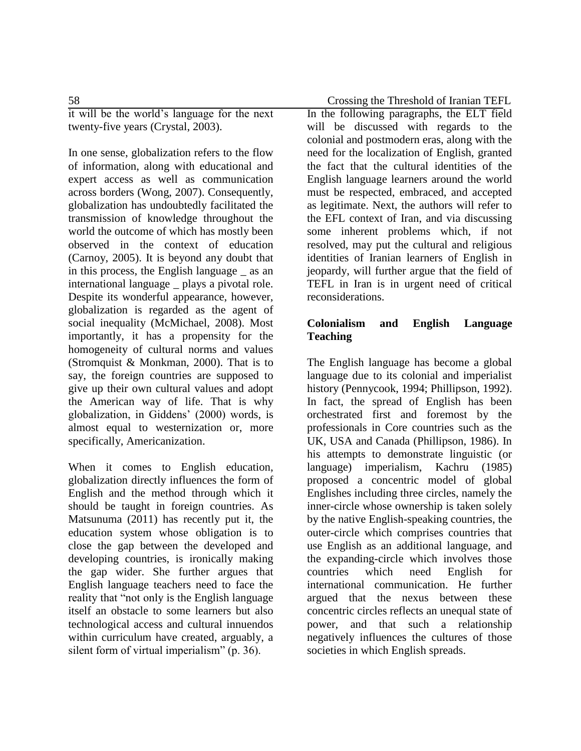it will be the world's language for the next twenty-five years (Crystal, 2003).

In one sense, globalization refers to the flow of information, along with educational and expert access as well as communication across borders (Wong, 2007). Consequently, globalization has undoubtedly facilitated the transmission of knowledge throughout the world the outcome of which has mostly been observed in the context of education (Carnoy, 2005). It is beyond any doubt that in this process, the English language \_ as an international language \_ plays a pivotal role. Despite its wonderful appearance, however, globalization is regarded as the agent of social inequality (McMichael, 2008). Most importantly, it has a propensity for the homogeneity of cultural norms and values (Stromquist & Monkman, 2000). That is to say, the foreign countries are supposed to give up their own cultural values and adopt the American way of life. That is why globalization, in Giddens' (2000) words, is almost equal to westernization or, more specifically, Americanization.

When it comes to English education, globalization directly influences the form of English and the method through which it should be taught in foreign countries. As Matsunuma (2011) has recently put it, the education system whose obligation is to close the gap between the developed and developing countries, is ironically making the gap wider. She further argues that English language teachers need to face the reality that "not only is the English language itself an obstacle to some learners but also technological access and cultural innuendos within curriculum have created, arguably, a silent form of virtual imperialism" (p. 36).

In the following paragraphs, the ELT field will be discussed with regards to the colonial and postmodern eras, along with the need for the localization of English, granted the fact that the cultural identities of the English language learners around the world must be respected, embraced, and accepted as legitimate. Next, the authors will refer to the EFL context of Iran, and via discussing some inherent problems which, if not resolved, may put the cultural and religious identities of Iranian learners of English in jeopardy, will further argue that the field of TEFL in Iran is in urgent need of critical reconsiderations.

### **Colonialism and English Language Teaching**

The English language has become a global language due to its colonial and imperialist history (Pennycook, 1994; Phillipson, 1992). In fact, the spread of English has been orchestrated first and foremost by the professionals in Core countries such as the UK, USA and Canada (Phillipson, 1986). In his attempts to demonstrate linguistic (or language) imperialism, Kachru (1985) proposed a concentric model of global Englishes including three circles, namely the inner-circle whose ownership is taken solely by the native English-speaking countries, the outer-circle which comprises countries that use English as an additional language, and the expanding-circle which involves those countries which need English for international communication. He further argued that the nexus between these concentric circles reflects an unequal state of power, and that such a relationship negatively influences the cultures of those societies in which English spreads.

58 Crossing the Threshold of Iranian TEFL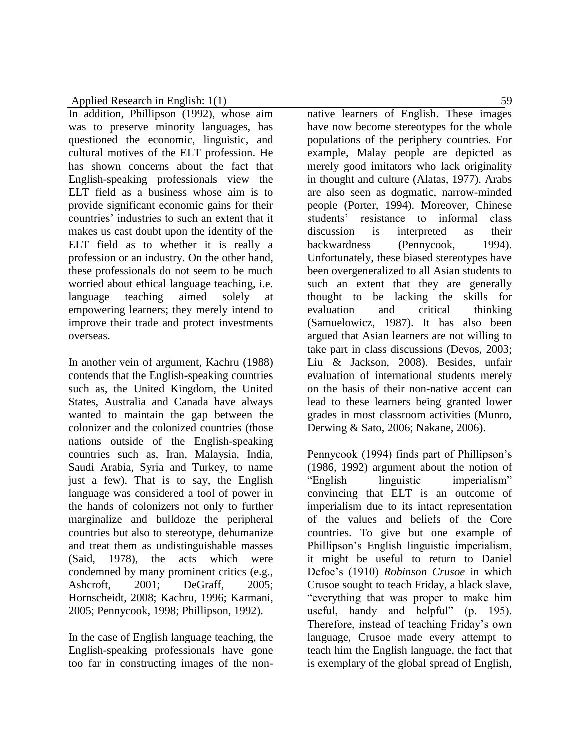In addition, Phillipson (1992), whose aim was to preserve minority languages, has questioned the economic, linguistic, and cultural motives of the ELT profession. He has shown concerns about the fact that English-speaking professionals view the ELT field as a business whose aim is to provide significant economic gains for their countries' industries to such an extent that it makes us cast doubt upon the identity of the ELT field as to whether it is really a profession or an industry. On the other hand, these professionals do not seem to be much worried about ethical language teaching, i.e. language teaching aimed solely at empowering learners; they merely intend to improve their trade and protect investments overseas.

In another vein of argument, Kachru (1988) contends that the English-speaking countries such as, the United Kingdom, the United States, Australia and Canada have always wanted to maintain the gap between the colonizer and the colonized countries (those nations outside of the English-speaking countries such as, Iran, Malaysia, India, Saudi Arabia, Syria and Turkey, to name just a few). That is to say, the English language was considered a tool of power in the hands of colonizers not only to further marginalize and bulldoze the peripheral countries but also to stereotype, dehumanize and treat them as undistinguishable masses (Said, 1978), the acts which were condemned by many prominent critics (e.g., Ashcroft, 2001; DeGraff, 2005; Hornscheidt, 2008; Kachru, 1996; Karmani, 2005; Pennycook, 1998; Phillipson, 1992).

In the case of English language teaching, the English-speaking professionals have gone too far in constructing images of the nonnative learners of English. These images have now become stereotypes for the whole populations of the periphery countries. For example, Malay people are depicted as merely good imitators who lack originality in thought and culture (Alatas, 1977). Arabs are also seen as dogmatic, narrow-minded people (Porter, 1994). Moreover, Chinese students' resistance to informal class discussion is interpreted as their backwardness (Pennycook, 1994). Unfortunately, these biased stereotypes have been overgeneralized to all Asian students to such an extent that they are generally thought to be lacking the skills for evaluation and critical thinking (Samuelowicz, 1987). It has also been argued that Asian learners are not willing to take part in class discussions (Devos, 2003; Liu & Jackson, 2008). Besides, unfair evaluation of international students merely on the basis of their non-native accent can lead to these learners being granted lower grades in most classroom activities (Munro, Derwing & Sato, 2006; Nakane, 2006).

Pennycook (1994) finds part of Phillipson's (1986, 1992) argument about the notion of "English linguistic imperialism" convincing that ELT is an outcome of imperialism due to its intact representation of the values and beliefs of the Core countries. To give but one example of Phillipson's English linguistic imperialism, it might be useful to return to Daniel Defoe's (1910) *Robinson Crusoe* in which Crusoe sought to teach Friday, a black slave, "everything that was proper to make him useful, handy and helpful" (p. 195). Therefore, instead of teaching Friday's own language, Crusoe made every attempt to teach him the English language, the fact that is exemplary of the global spread of English,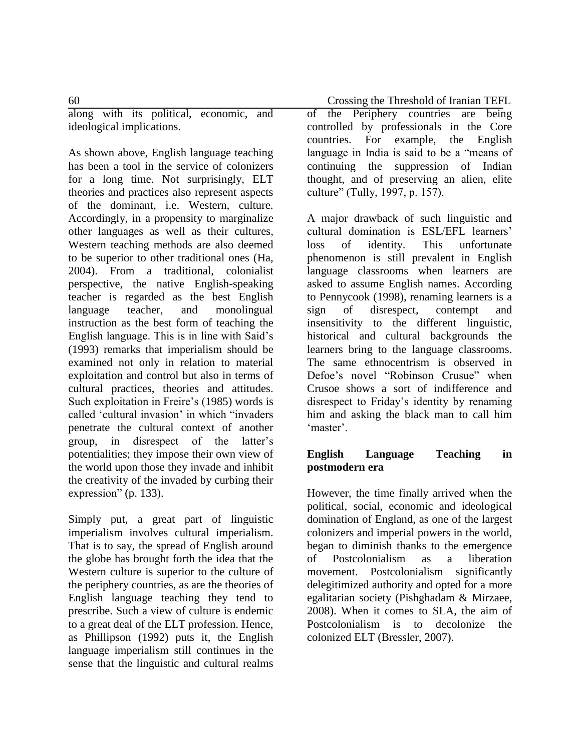along with its political, economic, and ideological implications.

As shown above, English language teaching has been a tool in the service of colonizers for a long time. Not surprisingly, ELT theories and practices also represent aspects of the dominant, i.e. Western, culture. Accordingly, in a propensity to marginalize other languages as well as their cultures, Western teaching methods are also deemed to be superior to other traditional ones (Ha, 2004). From a traditional, colonialist perspective, the native English-speaking teacher is regarded as the best English language teacher, and monolingual instruction as the best form of teaching the English language. This is in line with Said's (1993) remarks that imperialism should be examined not only in relation to material exploitation and control but also in terms of cultural practices, theories and attitudes. Such exploitation in Freire's (1985) words is called 'cultural invasion' in which "invaders penetrate the cultural context of another group, in disrespect of the latter's potentialities; they impose their own view of the world upon those they invade and inhibit the creativity of the invaded by curbing their expression" (p. 133).

Simply put, a great part of linguistic imperialism involves cultural imperialism. That is to say, the spread of English around the globe has brought forth the idea that the Western culture is superior to the culture of the periphery countries, as are the theories of English language teaching they tend to prescribe. Such a view of culture is endemic to a great deal of the ELT profession. Hence, as Phillipson (1992) puts it, the English language imperialism still continues in the sense that the linguistic and cultural realms

60 Crossing the Threshold of Iranian TEFL

of the Periphery countries are being controlled by professionals in the Core countries. For example, the English language in India is said to be a "means of continuing the suppression of Indian thought, and of preserving an alien, elite culture" (Tully, 1997, p. 157).

A major drawback of such linguistic and cultural domination is ESL/EFL learners' loss of identity. This unfortunate phenomenon is still prevalent in English language classrooms when learners are asked to assume English names. According to Pennycook (1998), renaming learners is a sign of disrespect, contempt and insensitivity to the different linguistic, historical and cultural backgrounds the learners bring to the language classrooms. The same ethnocentrism is observed in Defoe's novel "Robinson Crusue" when Crusoe shows a sort of indifference and disrespect to Friday's identity by renaming him and asking the black man to call him 'master'.

### **English Language Teaching in postmodern era**

However, the time finally arrived when the political, social, economic and ideological domination of England, as one of the largest colonizers and imperial powers in the world, began to diminish thanks to the emergence of Postcolonialism as a liberation movement. Postcolonialism significantly delegitimized authority and opted for a more egalitarian society (Pishghadam & Mirzaee, 2008). When it comes to SLA, the aim of Postcolonialism is to decolonize the colonized ELT (Bressler, 2007).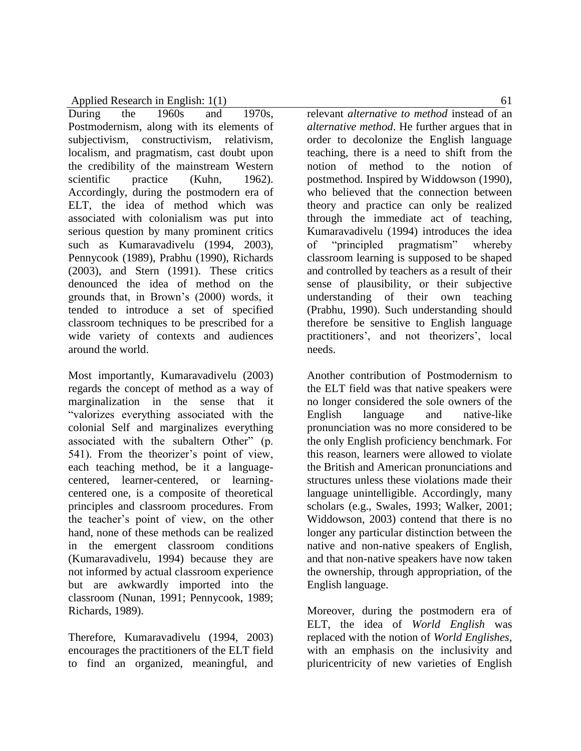During the 1960s and 1970s, Postmodernism, along with its elements of subjectivism, constructivism, relativism, localism, and pragmatism, cast doubt upon the credibility of the mainstream Western scientific practice (Kuhn, 1962). Accordingly, during the postmodern era of ELT, the idea of method which was associated with colonialism was put into serious question by many prominent critics such as Kumaravadivelu (1994, 2003), Pennycook (1989), Prabhu (1990), Richards (2003), and Stern (1991). These critics denounced the idea of method on the grounds that, in Brown's (2000) words, it tended to introduce a set of specified classroom techniques to be prescribed for a wide variety of contexts and audiences around the world.

Most importantly, Kumaravadivelu (2003) regards the concept of method as a way of marginalization in the sense that it "valorizes everything associated with the colonial Self and marginalizes everything associated with the subaltern Other" (p. 541). From the theorizer's point of view, each teaching method, be it a languagecentered, learner-centered, or learningcentered one, is a composite of theoretical principles and classroom procedures. From the teacher's point of view, on the other hand, none of these methods can be realized in the emergent classroom conditions (Kumaravadivelu, 1994) because they are not informed by actual classroom experience but are awkwardly imported into the classroom (Nunan, 1991; Pennycook, 1989; Richards, 1989).

Therefore, Kumaravadivelu (1994, 2003) encourages the practitioners of the ELT field to find an organized, meaningful, and

relevant *alternative to method* instead of an *alternative method*. He further argues that in order to decolonize the English language teaching, there is a need to shift from the notion of method to the notion of postmethod. Inspired by Widdowson (1990), who believed that the connection between theory and practice can only be realized through the immediate act of teaching, Kumaravadivelu (1994) introduces the idea of "principled pragmatism" whereby classroom learning is supposed to be shaped and controlled by teachers as a result of their sense of plausibility, or their subjective understanding of their own teaching (Prabhu, 1990). Such understanding should therefore be sensitive to English language practitioners', and not theorizers', local needs.

Another contribution of Postmodernism to the ELT field was that native speakers were no longer considered the sole owners of the English language and native-like pronunciation was no more considered to be the only English proficiency benchmark. For this reason, learners were allowed to violate the British and American pronunciations and structures unless these violations made their language unintelligible. Accordingly, many scholars (e.g., Swales, 1993; Walker, 2001; Widdowson, 2003) contend that there is no longer any particular distinction between the native and non-native speakers of English, and that non-native speakers have now taken the ownership, through appropriation, of the English language.

Moreover, during the postmodern era of ELT, the idea of *World English* was replaced with the notion of *World Englishes*, with an emphasis on the inclusivity and pluricentricity of new varieties of English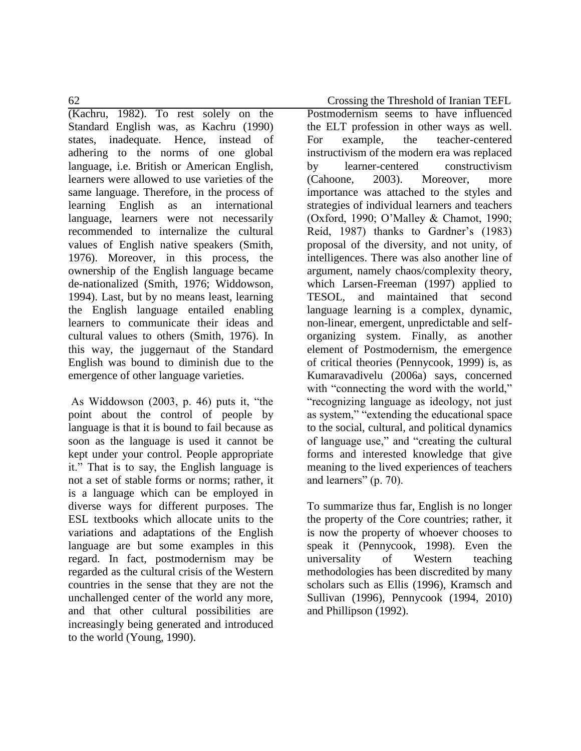62 Crossing the Threshold of Iranian TEFL

(Kachru, 1982). To rest solely on the Standard English was, as Kachru (1990) states, inadequate. Hence, instead of adhering to the norms of one global language, i.e. British or American English, learners were allowed to use varieties of the same language. Therefore, in the process of learning English as an international language, learners were not necessarily recommended to internalize the cultural values of English native speakers (Smith, 1976). Moreover, in this process, the ownership of the English language became de-nationalized (Smith, 1976; Widdowson, 1994). Last, but by no means least, learning the English language entailed enabling learners to communicate their ideas and cultural values to others (Smith, 1976). In this way, the juggernaut of the Standard English was bound to diminish due to the emergence of other language varieties.

As Widdowson (2003, p. 46) puts it, "the point about the control of people by language is that it is bound to fail because as soon as the language is used it cannot be kept under your control. People appropriate it." That is to say, the English language is not a set of stable forms or norms; rather, it is a language which can be employed in diverse ways for different purposes. The ESL textbooks which allocate units to the variations and adaptations of the English language are but some examples in this regard. In fact, postmodernism may be regarded as the cultural crisis of the Western countries in the sense that they are not the unchallenged center of the world any more, and that other cultural possibilities are increasingly being generated and introduced to the world (Young, 1990).

the ELT profession in other ways as well. For example, the teacher-centered instructivism of the modern era was replaced by learner-centered constructivism (Cahoone, 2003). Moreover, more importance was attached to the styles and strategies of individual learners and teachers (Oxford, 1990; O'Malley & Chamot, 1990; Reid, 1987) thanks to Gardner's (1983) proposal of the diversity, and not unity, of intelligences. There was also another line of argument, namely chaos/complexity theory, which Larsen-Freeman (1997) applied to TESOL, and maintained that second language learning is a complex, dynamic, non-linear, emergent, unpredictable and selforganizing system. Finally, as another element of Postmodernism, the emergence of critical theories (Pennycook, 1999) is, as Kumaravadivelu (2006a) says, concerned with "connecting the word with the world," "recognizing language as ideology, not just as system," "extending the educational space to the social, cultural, and political dynamics of language use," and "creating the cultural forms and interested knowledge that give meaning to the lived experiences of teachers and learners" (p. 70).

Postmodernism seems to have influenced

To summarize thus far, English is no longer the property of the Core countries; rather, it is now the property of whoever chooses to speak it (Pennycook, 1998). Even the universality of Western teaching methodologies has been discredited by many scholars such as Ellis (1996), Kramsch and Sullivan (1996), Pennycook (1994, 2010) and Phillipson (1992).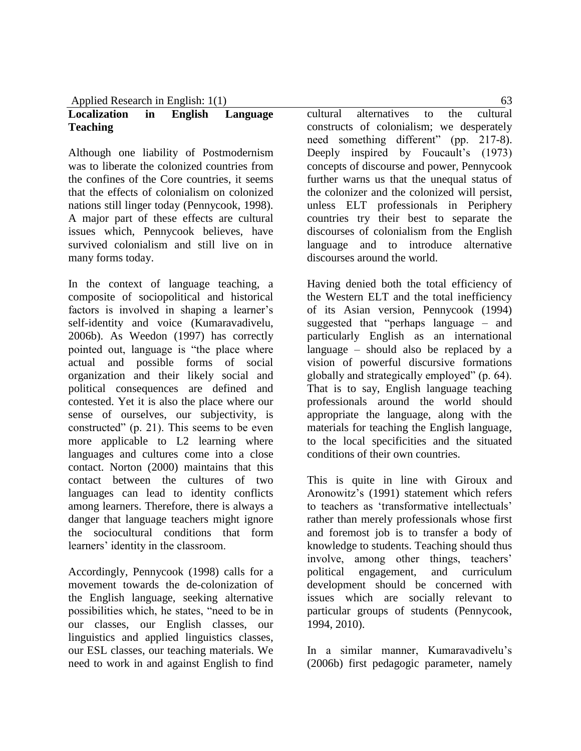# **Localization in English Language Teaching**

Although one liability of Postmodernism was to liberate the colonized countries from the confines of the Core countries, it seems that the effects of colonialism on colonized nations still linger today (Pennycook, 1998). A major part of these effects are cultural issues which, Pennycook believes, have survived colonialism and still live on in many forms today.

In the context of language teaching, a composite of sociopolitical and historical factors is involved in shaping a learner's self-identity and voice (Kumaravadivelu, 2006b). As Weedon (1997) has correctly pointed out, language is "the place where actual and possible forms of social organization and their likely social and political consequences are defined and contested. Yet it is also the place where our sense of ourselves, our subjectivity, is constructed" (p. 21). This seems to be even more applicable to L2 learning where languages and cultures come into a close contact. Norton (2000) maintains that this contact between the cultures of two languages can lead to identity conflicts among learners. Therefore, there is always a danger that language teachers might ignore the sociocultural conditions that form learners' identity in the classroom.

Accordingly, Pennycook (1998) calls for a movement towards the de-colonization of the English language, seeking alternative possibilities which, he states, "need to be in our classes, our English classes, our linguistics and applied linguistics classes, our ESL classes, our teaching materials. We need to work in and against English to find

cultural alternatives to the cultural constructs of colonialism; we desperately need something different" (pp. 217-8). Deeply inspired by Foucault's (1973) concepts of discourse and power, Pennycook further warns us that the unequal status of the colonizer and the colonized will persist, unless ELT professionals in Periphery countries try their best to separate the discourses of colonialism from the English language and to introduce alternative discourses around the world.

Having denied both the total efficiency of the Western ELT and the total inefficiency of its Asian version, Pennycook (1994) suggested that "perhaps language – and particularly English as an international language – should also be replaced by a vision of powerful discursive formations globally and strategically employed" (p. 64). That is to say, English language teaching professionals around the world should appropriate the language, along with the materials for teaching the English language, to the local specificities and the situated conditions of their own countries.

This is quite in line with Giroux and Aronowitz's (1991) statement which refers to teachers as 'transformative intellectuals' rather than merely professionals whose first and foremost job is to transfer a body of knowledge to students. Teaching should thus involve, among other things, teachers' political engagement, and curriculum development should be concerned with issues which are socially relevant to particular groups of students (Pennycook, 1994, 2010).

In a similar manner, Kumaravadivelu's (2006b) first pedagogic parameter, namely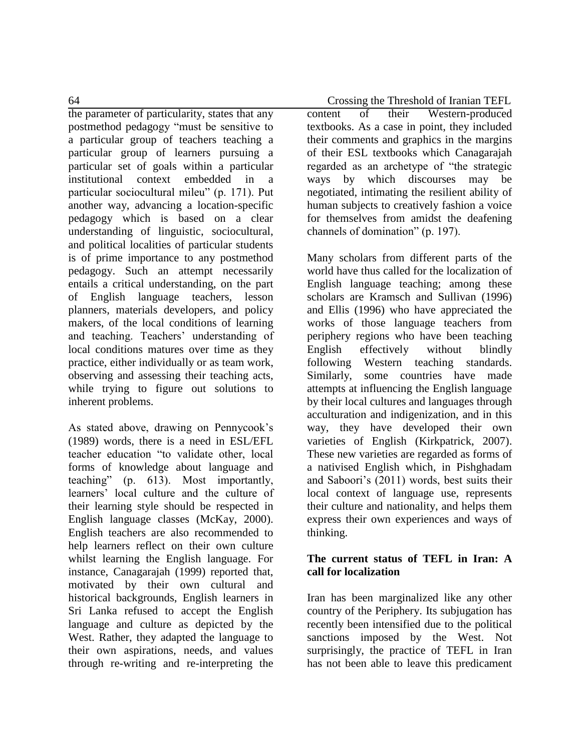the parameter of particularity, states that any postmethod pedagogy "must be sensitive to a particular group of teachers teaching a particular group of learners pursuing a particular set of goals within a particular institutional context embedded in a particular sociocultural mileu" (p. 171). Put another way, advancing a location-specific pedagogy which is based on a clear understanding of linguistic, sociocultural, and political localities of particular students is of prime importance to any postmethod pedagogy. Such an attempt necessarily entails a critical understanding, on the part of English language teachers, lesson planners, materials developers, and policy makers, of the local conditions of learning and teaching. Teachers' understanding of local conditions matures over time as they practice, either individually or as team work, observing and assessing their teaching acts, while trying to figure out solutions to inherent problems.

As stated above, drawing on Pennycook's (1989) words, there is a need in ESL/EFL teacher education "to validate other, local forms of knowledge about language and teaching" (p. 613). Most importantly, learners' local culture and the culture of their learning style should be respected in English language classes (McKay, 2000). English teachers are also recommended to help learners reflect on their own culture whilst learning the English language. For instance, Canagarajah (1999) reported that, motivated by their own cultural and historical backgrounds, English learners in Sri Lanka refused to accept the English language and culture as depicted by the West. Rather, they adapted the language to their own aspirations, needs, and values through re-writing and re-interpreting the

64 Crossing the Threshold of Iranian TEFL

content of their Western-produced textbooks. As a case in point, they included their comments and graphics in the margins of their ESL textbooks which Canagarajah regarded as an archetype of "the strategic ways by which discourses may be negotiated, intimating the resilient ability of human subjects to creatively fashion a voice for themselves from amidst the deafening channels of domination" (p. 197).

Many scholars from different parts of the world have thus called for the localization of English language teaching; among these scholars are Kramsch and Sullivan (1996) and Ellis (1996) who have appreciated the works of those language teachers from periphery regions who have been teaching English effectively without blindly following Western teaching standards. Similarly, some countries have made attempts at influencing the English language by their local cultures and languages through acculturation and indigenization, and in this way, they have developed their own varieties of English (Kirkpatrick, 2007). These new varieties are regarded as forms of a nativised English which, in Pishghadam and Saboori's (2011) words, best suits their local context of language use, represents their culture and nationality, and helps them express their own experiences and ways of thinking.

## **The current status of TEFL in Iran: A call for localization**

Iran has been marginalized like any other country of the Periphery. Its subjugation has recently been intensified due to the political sanctions imposed by the West. Not surprisingly, the practice of TEFL in Iran has not been able to leave this predicament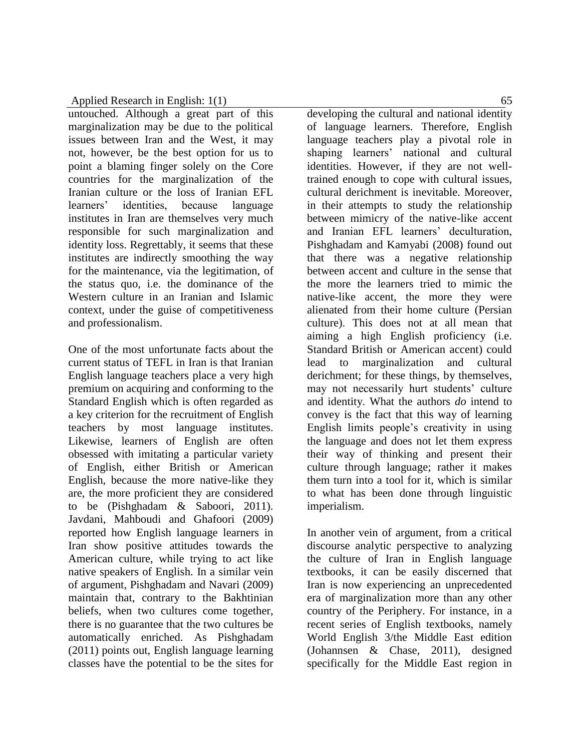untouched. Although a great part of this marginalization may be due to the political issues between Iran and the West, it may not, however, be the best option for us to point a blaming finger solely on the Core countries for the marginalization of the Iranian culture or the loss of Iranian EFL learners' identities, because language institutes in Iran are themselves very much responsible for such marginalization and identity loss. Regrettably, it seems that these institutes are indirectly smoothing the way for the maintenance, via the legitimation, of the status quo, i.e. the dominance of the Western culture in an Iranian and Islamic context, under the guise of competitiveness and professionalism.

One of the most unfortunate facts about the current status of TEFL in Iran is that Iranian English language teachers place a very high premium on acquiring and conforming to the Standard English which is often regarded as a key criterion for the recruitment of English teachers by most language institutes. Likewise, learners of English are often obsessed with imitating a particular variety of English, either British or American English, because the more native-like they are, the more proficient they are considered to be (Pishghadam & Saboori, 2011). Javdani, Mahboudi and Ghafoori (2009) reported how English language learners in Iran show positive attitudes towards the American culture, while trying to act like native speakers of English. In a similar vein of argument, Pishghadam and Navari (2009) maintain that, contrary to the Bakhtinian beliefs, when two cultures come together, there is no guarantee that the two cultures be automatically enriched. As Pishghadam (2011) points out, English language learning classes have the potential to be the sites for

developing the cultural and national identity of language learners. Therefore, English language teachers play a pivotal role in shaping learners' national and cultural identities. However, if they are not welltrained enough to cope with cultural issues, cultural derichment is inevitable. Moreover, in their attempts to study the relationship between mimicry of the native-like accent and Iranian EFL learners' deculturation, Pishghadam and Kamyabi (2008) found out that there was a negative relationship between accent and culture in the sense that the more the learners tried to mimic the native-like accent, the more they were alienated from their home culture (Persian culture). This does not at all mean that aiming a high English proficiency (i.e. Standard British or American accent) could lead to marginalization and cultural derichment; for these things, by themselves, may not necessarily hurt students' culture and identity. What the authors *do* intend to convey is the fact that this way of learning English limits people's creativity in using the language and does not let them express their way of thinking and present their culture through language; rather it makes them turn into a tool for it, which is similar to what has been done through linguistic imperialism.

In another vein of argument, from a critical discourse analytic perspective to analyzing the culture of Iran in English language textbooks, it can be easily discerned that Iran is now experiencing an unprecedented era of marginalization more than any other country of the Periphery. For instance, in a recent series of English textbooks, namely World English 3/the Middle East edition (Johannsen & Chase, 2011), designed specifically for the Middle East region in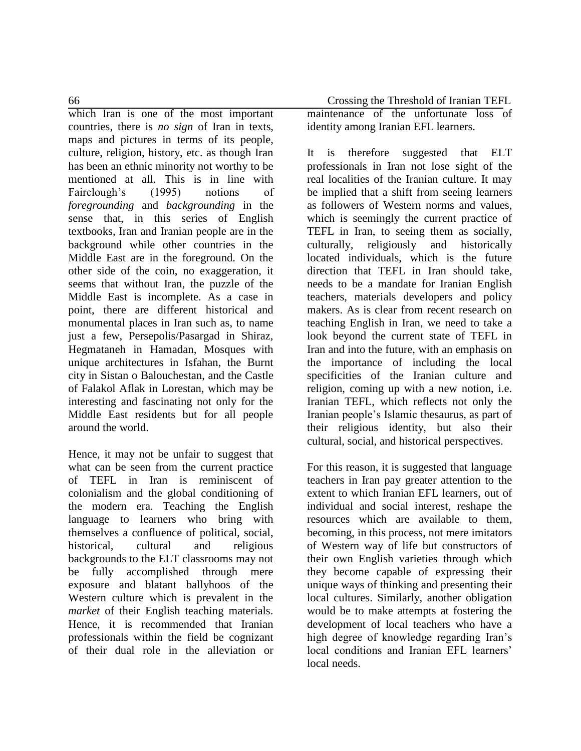which Iran is one of the most important countries, there is *no sign* of Iran in texts, maps and pictures in terms of its people, culture, religion, history, etc. as though Iran has been an ethnic minority not worthy to be mentioned at all. This is in line with Fairclough's (1995) notions of *foregrounding* and *backgrounding* in the sense that, in this series of English textbooks, Iran and Iranian people are in the background while other countries in the Middle East are in the foreground. On the other side of the coin, no exaggeration, it seems that without Iran, the puzzle of the Middle East is incomplete. As a case in point, there are different historical and monumental places in Iran such as, to name just a few, Persepolis/Pasargad in Shiraz, Hegmataneh in Hamadan, Mosques with unique architectures in Isfahan, the Burnt city in Sistan o Balouchestan, and the Castle of Falakol Aflak in Lorestan, which may be interesting and fascinating not only for the Middle East residents but for all people around the world.

Hence, it may not be unfair to suggest that what can be seen from the current practice of TEFL in Iran is reminiscent of colonialism and the global conditioning of the modern era. Teaching the English language to learners who bring with themselves a confluence of political, social, historical, cultural and religious backgrounds to the ELT classrooms may not be fully accomplished through mere exposure and blatant ballyhoos of the Western culture which is prevalent in the *market* of their English teaching materials. Hence, it is recommended that Iranian professionals within the field be cognizant of their dual role in the alleviation or

66 Crossing the Threshold of Iranian TEFL maintenance of the unfortunate loss of identity among Iranian EFL learners.

> It is therefore suggested that ELT professionals in Iran not lose sight of the real localities of the Iranian culture. It may be implied that a shift from seeing learners as followers of Western norms and values, which is seemingly the current practice of TEFL in Iran, to seeing them as socially, culturally, religiously and historically located individuals, which is the future direction that TEFL in Iran should take, needs to be a mandate for Iranian English teachers, materials developers and policy makers. As is clear from recent research on teaching English in Iran, we need to take a look beyond the current state of TEFL in Iran and into the future, with an emphasis on the importance of including the local specificities of the Iranian culture and religion, coming up with a new notion, i.e. Iranian TEFL, which reflects not only the Iranian people's Islamic [thesaurus,](http://dictionary.reference.com/browse/thesaurus?__utma=1.667307237.1314460198.1314460198.1314462869.2&__utmb=1.1.10.1314462869&__utmc=1&__utmx=-&__utmz=1.1314460198.1.1.utmcsr=(direct)|utmccn=(direct)|utmcmd=(none)&__utmv=-&__utmk=41340450) as part of their religious identity, but also their cultural, social, and historical perspectives.

> For this reason, it is suggested that language teachers in Iran pay greater attention to the extent to which Iranian EFL learners, out of individual and social interest, reshape the resources which are available to them, becoming, in this process, not mere imitators of Western way of life but constructors of their own English varieties through which they become capable of expressing their unique ways of thinking and presenting their local cultures. Similarly, another obligation would be to make attempts at fostering the development of local teachers who have a high degree of knowledge regarding Iran's local conditions and Iranian EFL learners' local needs.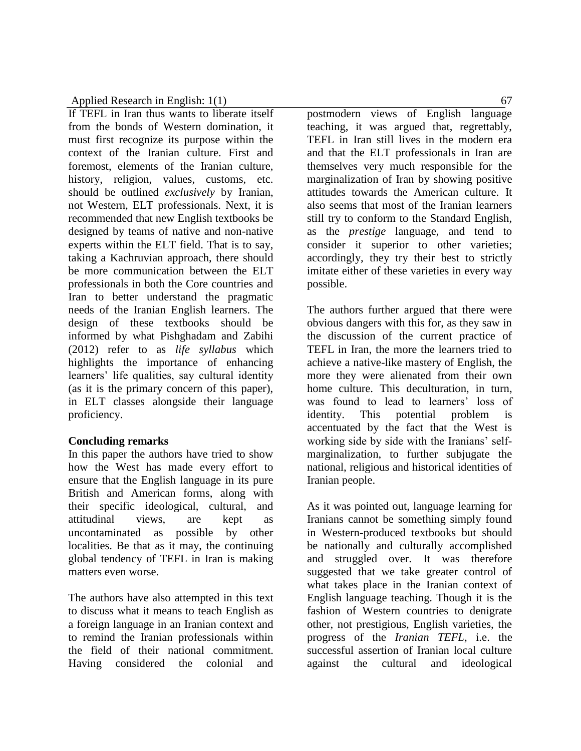If TEFL in Iran thus wants to liberate itself from the bonds of Western domination, it must first recognize its purpose within the context of the Iranian culture. First and foremost, elements of the Iranian culture, history, religion, values, customs, etc. should be outlined *exclusively* by Iranian, not Western, ELT professionals. Next, it is recommended that new English textbooks be designed by teams of native and non-native experts within the ELT field. That is to say, taking a Kachruvian approach, there should be more communication between the ELT professionals in both the Core countries and Iran to better understand the pragmatic needs of the Iranian English learners. The design of these textbooks should be informed by what Pishghadam and Zabihi (2012) refer to as *life syllabus* which highlights the importance of enhancing learners' life qualities, say cultural identity (as it is the primary concern of this paper), in ELT classes alongside their language proficiency.

### **Concluding remarks**

In this paper the authors have tried to show how the West has made every effort to ensure that the English language in its pure British and American forms, along with their specific ideological, cultural, and attitudinal views, are kept as uncontaminated as possible by other localities. Be that as it may, the continuing global tendency of TEFL in Iran is making matters even worse.

The authors have also attempted in this text to discuss what it means to teach English as a foreign language in an Iranian context and to remind the Iranian professionals within the field of their national commitment. Having considered the colonial and

postmodern views of English language teaching, it was argued that, regrettably, TEFL in Iran still lives in the modern era and that the ELT professionals in Iran are themselves very much responsible for the marginalization of Iran by showing positive attitudes towards the American culture. It also seems that most of the Iranian learners still try to conform to the Standard English, as the *prestige* language, and tend to consider it superior to other varieties; accordingly, they try their best to strictly imitate either of these varieties in every way possible.

The authors further argued that there were obvious dangers with this for, as they saw in the discussion of the current practice of TEFL in Iran, the more the learners tried to achieve a native-like mastery of English, the more they were alienated from their own home culture. This deculturation, in turn, was found to lead to learners' loss of identity. This potential problem is accentuated by the fact that the West is working side by side with the Iranians' selfmarginalization, to further subjugate the national, religious and historical identities of Iranian people.

As it was pointed out, language learning for Iranians cannot be something simply found in Western-produced textbooks but should be nationally and culturally accomplished and struggled over. It was therefore suggested that we take greater control of what takes place in the Iranian context of English language teaching. Though it is the fashion of Western countries to denigrate other, not prestigious, English varieties, the progress of the *Iranian TEFL*, i.e. the successful assertion of Iranian local culture against the cultural and ideological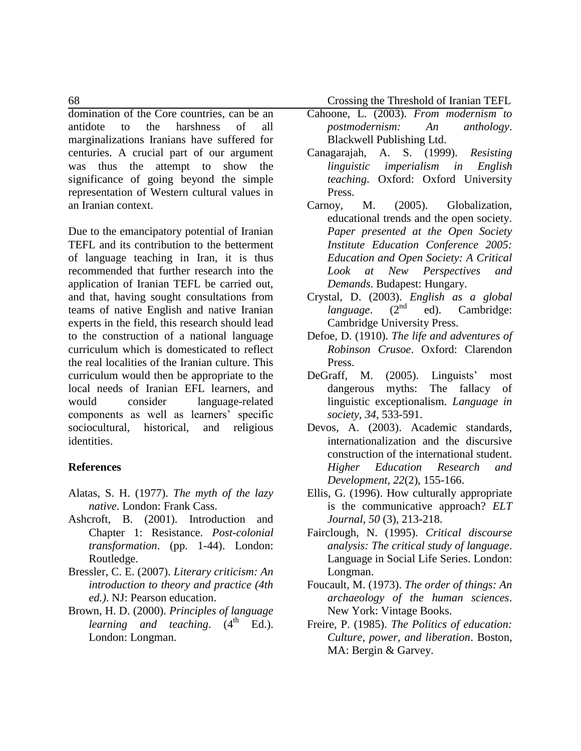domination of the Core countries, can be an antidote to the harshness of all marginalizations Iranians have suffered for centuries. A crucial part of our argument was thus the attempt to show the significance of going beyond the simple representation of Western cultural values in an Iranian context.

Due to the emancipatory potential of Iranian TEFL and its contribution to the betterment of language teaching in Iran, it is thus recommended that further research into the application of Iranian TEFL be carried out, and that, having sought consultations from teams of native English and native Iranian experts in the field, this research should lead to the construction of a national language curriculum which is domesticated to reflect the real localities of the Iranian culture. This curriculum would then be appropriate to the local needs of Iranian EFL learners, and would consider language-related components as well as learners' specific sociocultural, historical, and religious identities.

### **References**

- Alatas, S. H. (1977). *The myth of the lazy native*. London: Frank Cass.
- Ashcroft, B. (2001). Introduction and Chapter 1: Resistance. *Post-colonial transformation*. (pp. 1-44). London: Routledge.
- Bressler, C. E. (2007). *Literary criticism: An introduction to theory and practice (4th ed.)*. NJ: Pearson education.
- Brown, H. D. (2000). *Principles of language learning and teaching.* (4<sup>th Ed.).</sup> London: Longman.

68 Crossing the Threshold of Iranian TEFL

- Cahoone, L. (2003). *From modernism to postmodernism: An anthology*. Blackwell Publishing Ltd.
- Canagarajah, A. S. (1999). *Resisting linguistic imperialism in English teaching*. Oxford: Oxford University Press.
- Carnoy, M. (2005). Globalization, educational trends and the open society. *Paper presented at the Open Society Institute Education Conference 2005: Education and Open Society: A Critical Look at New Perspectives and Demands*. Budapest: Hungary.
- Crystal, D. (2003). *English as a global language.*  $(2^{nd}$  ed). Cambridge: Cambridge University Press.
- Defoe, D. (1910). *The life and adventures of Robinson Crusoe*. Oxford: Clarendon Press.
- DeGraff, M. (2005). Linguists' most dangerous myths: The fallacy of linguistic exceptionalism. *Language in society*, *34*, 533-591.
- Devos, A. (2003). Academic standards, internationalization and the discursive construction of the international student. *Higher Education Research and Development, 22*(2), 155-166.
- Ellis, G. (1996). How culturally appropriate is the communicative approach? *ELT Journal*, *50* (3), 213-218.
- Fairclough, N. (1995). *Critical discourse analysis: The critical study of language*. Language in Social Life Series. London: Longman.
- Foucault, M. (1973). *The order of things: An archaeology of the human sciences*. New York: Vintage Books.
- Freire, P. (1985). *The Politics of education: Culture, power, and liberation*. Boston, MA: Bergin & Garvey.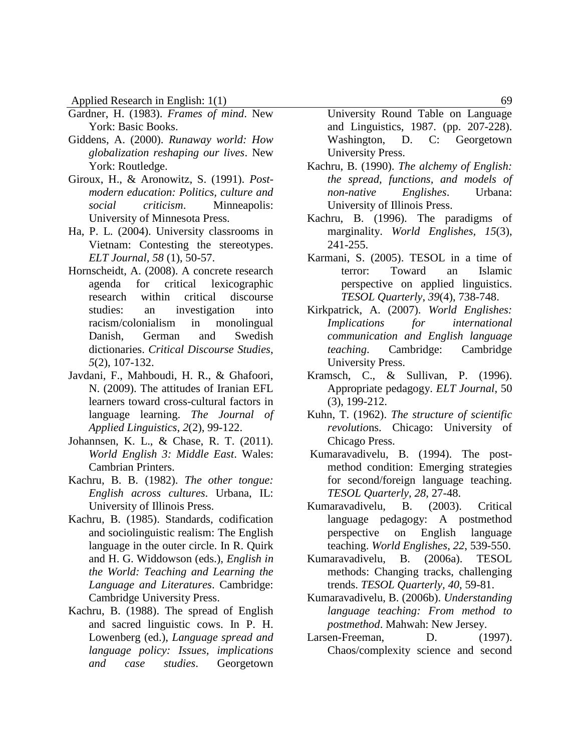- Gardner, H. (1983). *Frames of mind*. New York: Basic Books.
- Giddens, A. (2000). *Runaway world: How globalization reshaping our lives*. New York: Routledge.
- Giroux, H., & Aronowitz, S. (1991). *Postmodern education: Politics, culture and social criticism*. Minneapolis: University of Minnesota Press.
- Ha, P. L. (2004). University classrooms in Vietnam: Contesting the stereotypes. *ELT Journal, 58* (1), 50-57.
- Hornscheidt, A. (2008). A concrete research agenda for critical lexicographic research within critical discourse studies: an investigation into racism/colonialism in monolingual Danish, German and Swedish dictionaries. *Critical Discourse Studies*, *5*(2), 107-132.
- Javdani, F., Mahboudi, H. R., & Ghafoori, N. (2009). The attitudes of Iranian EFL learners toward cross-cultural factors in language learning. *The Journal of Applied Linguistics*, *2*(2), 99-122.
- Johannsen, K. L., & Chase, R. T. (2011). *World English 3: Middle East*. Wales: Cambrian Printers.
- Kachru, B. B. (1982). *The other tongue: English across cultures*. Urbana, IL: University of Illinois Press.
- Kachru, B. (1985). Standards, codification and sociolinguistic realism: The English language in the outer circle. In R. Quirk and H. G. Widdowson (eds.), *English in the World: Teaching and Learning the Language and Literatures*. Cambridge: Cambridge University Press.
- Kachru, B. (1988). The spread of English and sacred linguistic cows. In P. H. Lowenberg (ed.), *Language spread and language policy: Issues, implications and case studies*. Georgetown

University Round Table on Language and Linguistics, 1987. (pp. 207-228). Washington, D. C: Georgetown University Press.

- Kachru, B. (1990). *The alchemy of English: the spread, functions, and models of non-native Englishes*. Urbana: University of Illinois Press.
- Kachru, B. (1996). The paradigms of marginality. *World Englishes, 15*(3), 241-255.
- Karmani, S. (2005). TESOL in a time of terror: Toward an Islamic perspective on applied linguistics. *TESOL Quarterly*, *39*(4), 738-748.
- Kirkpatrick, A. (2007). *World Englishes: Implications for international communication and English language teaching*. Cambridge: Cambridge University Press.
- Kramsch, C., & Sullivan, P. (1996). Appropriate pedagogy. *ELT Journal*, 50 (3), 199-212.
- Kuhn, T. (1962). *The structure of scientific revolutio*ns. Chicago: University of Chicago Press.
- Kumaravadivelu, B. (1994). The postmethod condition: Emerging strategies for second/foreign language teaching. *TESOL Quarterly, 28*, 27-48.
- Kumaravadivelu, B. (2003). Critical language pedagogy: A postmethod perspective on English language teaching. *World Englishes*, *22*, 539-550.
- Kumaravadivelu, B. (2006a). TESOL methods: Changing tracks, challenging trends. *TESOL Quarterly, 40*, 59-81.
- Kumaravadivelu, B. (2006b). *Understanding language teaching: From method to postmethod*. Mahwah: New Jersey.
- Larsen-Freeman, D. (1997). Chaos/complexity science and second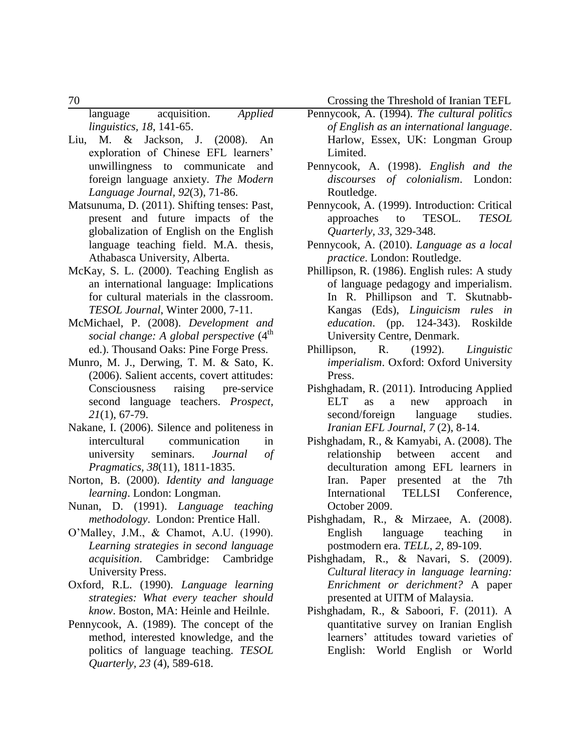70 Crossing the Threshold of Iranian TEFL

language acquisition. *Applied linguistics, 18*, 141-65.

- Liu, M. & Jackson, J. (2008). An exploration of Chinese EFL learners' unwillingness to communicate and foreign language anxiety. *The Modern Language Journal, 92*(3), 71-86.
- Matsunuma, D. (2011). Shifting tenses: Past, present and future impacts of the globalization of English on the English language teaching field. M.A. thesis, Athabasca University, Alberta.
- McKay, S. L. (2000). Teaching English as an international language: Implications for cultural materials in the classroom. *TESOL Journal*, Winter 2000, 7-11.
- McMichael, P. (2008). *Development and social change: A global perspective* (4<sup>th</sup>) ed.). Thousand Oaks: Pine Forge Press.
- Munro, M. J., Derwing, T. M. & Sato, K. (2006). Salient accents, covert attitudes: Consciousness raising pre-service second language teachers. *Prospect, 21*(1), 67-79.
- Nakane, I. (2006). Silence and politeness in intercultural communication in university seminars. *Journal of Pragmatics, 38*(11), 1811-1835.
- Norton, B. (2000). *Identity and language learning*. London: Longman.
- Nunan, D. (1991). *Language teaching methodology*. London: Prentice Hall.
- O'Malley, J.M., & Chamot, A.U. (1990). *Learning strategies in second language acquisition*. Cambridge: Cambridge University Press.
- Oxford, R.L. (1990). *Language learning strategies: What every teacher should know*. Boston, MA: Heinle and Heilnle.
- Pennycook, A. (1989). The concept of the method, interested knowledge, and the politics of language teaching. *TESOL Quarterly, 23* (4), 589-618.
- Pennycook, A. (1994). *The cultural politics of English as an international language*. Harlow, Essex, UK: Longman Group Limited.
- Pennycook, A. (1998). *English and the discourses of colonialism*. London: Routledge.
- Pennycook, A. (1999). Introduction: Critical approaches to TESOL. *TESOL Quarterly, 33,* 329-348.
- Pennycook, A. (2010). *Language as a local practice*. London: Routledge.
- Phillipson, R. (1986). English rules: A study of language pedagogy and imperialism. In R. Phillipson and T. Skutnabb-Kangas (Eds), *Linguicism rules in education*. (pp. 124-343). Roskilde University Centre, Denmark.
- Phillipson, R. (1992). *Linguistic imperialism*. Oxford: Oxford University Press.
- Pishghadam, R. (2011). Introducing Applied ELT as a new approach in second/foreign language studies. *Iranian EFL Journal*, *7* (2), 8-14.
- Pishghadam, R., & Kamyabi, A. (2008). The relationship between accent and deculturation among EFL learners in Iran. Paper presented at the [7th](http://profdoc.um.ac.ir/list-confname-7th%20International%20TELLSI%20Conference.html)  [International TELLSI Conference,](http://profdoc.um.ac.ir/list-confname-7th%20International%20TELLSI%20Conference.html) October 2009.
- Pishghadam, R., & Mirzaee, A. (2008). English language teaching in postmodern era. *TELL*, *2*, 89-109.
- Pishghadam, R., & Navari, S. (2009). *Cultural literacy in language learning: Enrichment or derichment?* A paper presented at UITM of Malaysia.
- Pishghadam, R., & Saboori, F. (2011). A quantitative survey on Iranian English learners' attitudes toward varieties of English: World English or World